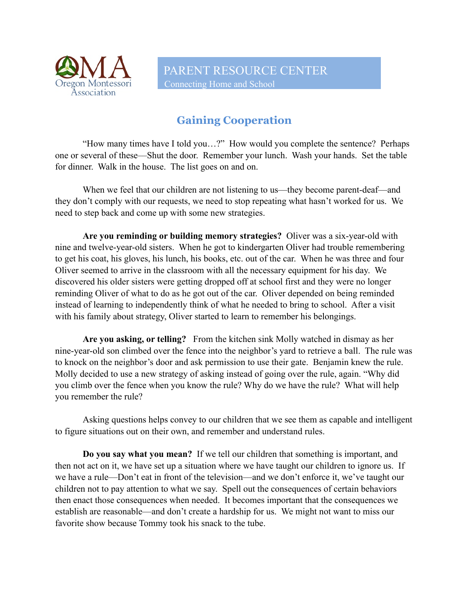

## **Gaining Cooperation**

"How many times have I told you…?" How would you complete the sentence? Perhaps one or several of these––Shut the door. Remember your lunch. Wash your hands. Set the table for dinner. Walk in the house. The list goes on and on.

When we feel that our children are not listening to us—they become parent-deaf—and they don't comply with our requests, we need to stop repeating what hasn't worked for us. We need to step back and come up with some new strategies.

**Are you reminding or building memory strategies?** Oliver was a six-year-old with nine and twelve-year-old sisters. When he got to kindergarten Oliver had trouble remembering to get his coat, his gloves, his lunch, his books, etc. out of the car. When he was three and four Oliver seemed to arrive in the classroom with all the necessary equipment for his day. We discovered his older sisters were getting dropped off at school first and they were no longer reminding Oliver of what to do as he got out of the car. Oliver depended on being reminded instead of learning to independently think of what he needed to bring to school. After a visit with his family about strategy, Oliver started to learn to remember his belongings.

**Are you asking, or telling?** From the kitchen sink Molly watched in dismay as her nine-year-old son climbed over the fence into the neighbor's yard to retrieve a ball. The rule was to knock on the neighbor's door and ask permission to use their gate. Benjamin knew the rule. Molly decided to use a new strategy of asking instead of going over the rule, again. "Why did you climb over the fence when you know the rule? Why do we have the rule? What will help you remember the rule?

Asking questions helps convey to our children that we see them as capable and intelligent to figure situations out on their own, and remember and understand rules.

**Do you say what you mean?** If we tell our children that something is important, and then not act on it, we have set up a situation where we have taught our children to ignore us. If we have a rule––Don't eat in front of the television––and we don't enforce it, we've taught our children not to pay attention to what we say. Spell out the consequences of certain behaviors then enact those consequences when needed. It becomes important that the consequences we establish are reasonable—and don't create a hardship for us. We might not want to miss our favorite show because Tommy took his snack to the tube.